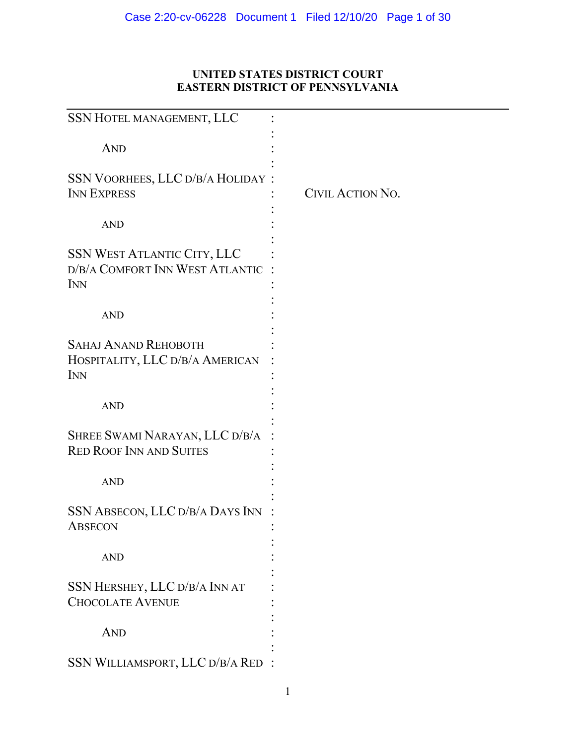# **UNITED STATES DISTRICT COURT EASTERN DISTRICT OF PENNSYLVANIA**

| SSN HOTEL MANAGEMENT, LLC                                                    |                  |
|------------------------------------------------------------------------------|------------------|
| <b>AND</b>                                                                   |                  |
| <b>SSN VOORHEES, LLC D/B/A HOLIDAY:</b><br><b>INN EXPRESS</b>                | CIVIL ACTION NO. |
| <b>AND</b>                                                                   |                  |
| SSN WEST ATLANTIC CITY, LLC<br>D/B/A COMFORT INN WEST ATLANTIC<br><b>INN</b> |                  |
| <b>AND</b>                                                                   |                  |
| <b>SAHAJ ANAND REHOBOTH</b><br>HOSPITALITY, LLC D/B/A AMERICAN<br><b>INN</b> |                  |
| <b>AND</b>                                                                   |                  |
| SHREE SWAMI NARAYAN, LLC D/B/A<br><b>RED ROOF INN AND SUITES</b>             |                  |
| <b>AND</b>                                                                   |                  |
| SSN ABSECON, LLC D/B/A DAYS INN<br><b>ABSECON</b>                            |                  |
| <b>AND</b>                                                                   |                  |
| SSN HERSHEY, LLC D/B/A INN AT<br><b>CHOCOLATE AVENUE</b>                     |                  |
| <b>AND</b>                                                                   |                  |
| SSN WILLIAMSPORT, LLC D/B/A RED                                              |                  |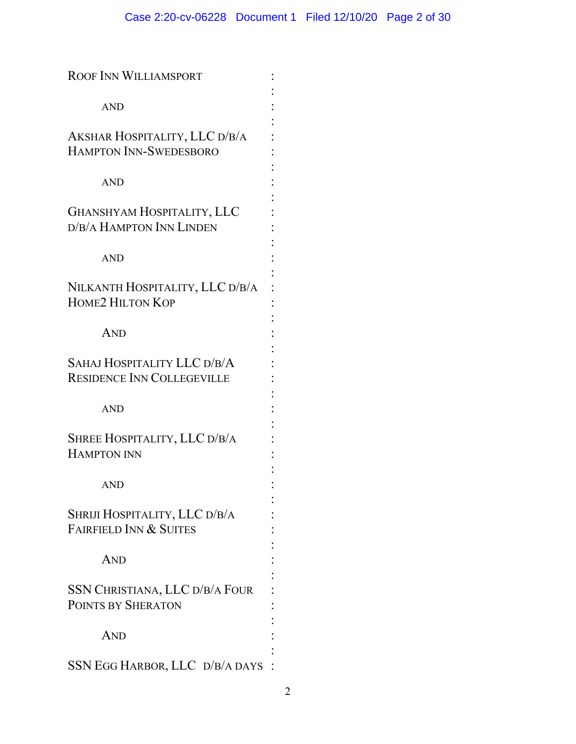| <b>ROOF INN WILLIAMSPORT</b>                                       |  |
|--------------------------------------------------------------------|--|
| <b>AND</b>                                                         |  |
| AKSHAR HOSPITALITY, LLC D/B/A<br>HAMPTON INN-SWEDESBORO            |  |
| <b>AND</b>                                                         |  |
| <b>GHANSHYAM HOSPITALITY, LLC</b><br>D/B/A HAMPTON INN LINDEN      |  |
| <b>AND</b>                                                         |  |
| NILKANTH HOSPITALITY, LLC D/B/A<br><b>HOME2 HILTON KOP</b>         |  |
| <b>AND</b>                                                         |  |
| SAHAJ HOSPITALITY LLC D/B/A<br><b>RESIDENCE INN COLLEGEVILLE</b>   |  |
| <b>AND</b>                                                         |  |
| SHREE HOSPITALITY, LLC D/B/A<br><b>HAMPTON INN</b>                 |  |
| AND                                                                |  |
| SHRIJI HOSPITALITY, LLC D/B/A<br><b>FAIRFIELD INN &amp; SUITES</b> |  |
| <b>AND</b>                                                         |  |
| SSN CHRISTIANA, LLC D/B/A FOUR<br>POINTS BY SHERATON               |  |
| <b>AND</b>                                                         |  |
| SSN EGG HARBOR, LLC D/B/A DAYS                                     |  |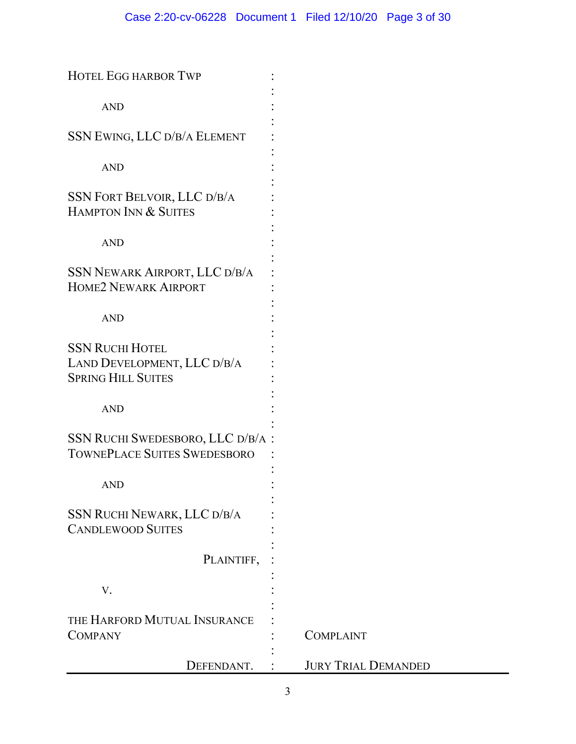| <b>HOTEL EGG HARBOR TWP</b>                                                        |                            |
|------------------------------------------------------------------------------------|----------------------------|
| <b>AND</b>                                                                         |                            |
| SSN EWING, LLC D/B/A ELEMENT                                                       |                            |
| <b>AND</b>                                                                         |                            |
| <b>SSN FORT BELVOIR, LLC D/B/A</b><br>HAMPTON INN & SUITES                         |                            |
| <b>AND</b>                                                                         |                            |
| SSN NEWARK AIRPORT, LLC D/B/A<br><b>HOME2 NEWARK AIRPORT</b>                       |                            |
| <b>AND</b>                                                                         |                            |
| <b>SSN RUCHI HOTEL</b><br>LAND DEVELOPMENT, LLC D/B/A<br><b>SPRING HILL SUITES</b> |                            |
| <b>AND</b>                                                                         |                            |
| SSN RUCHI SWEDESBORO, LLC D/B/A :<br>TOWNEPLACE SUITES SWEDESBORO                  |                            |
| <b>AND</b>                                                                         |                            |
| SSN RUCHI NEWARK, LLC D/B/A<br><b>CANDLEWOOD SUITES</b>                            |                            |
| PLAINTIFF,                                                                         |                            |
| V.                                                                                 |                            |
| THE HARFORD MUTUAL INSURANCE<br><b>COMPANY</b>                                     | <b>COMPLAINT</b>           |
| DEFENDANT.                                                                         | <b>JURY TRIAL DEMANDED</b> |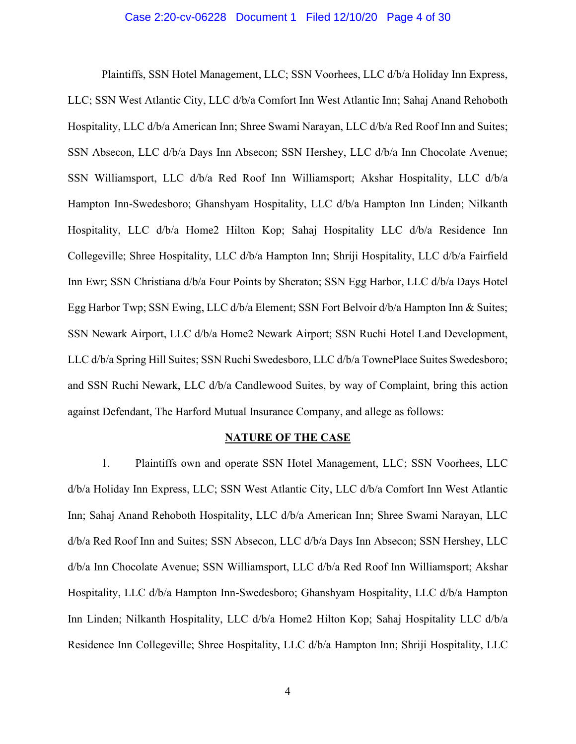#### Case 2:20-cv-06228 Document 1 Filed 12/10/20 Page 4 of 30

Plaintiffs, SSN Hotel Management, LLC; SSN Voorhees, LLC d/b/a Holiday Inn Express, LLC; SSN West Atlantic City, LLC d/b/a Comfort Inn West Atlantic Inn; Sahaj Anand Rehoboth Hospitality, LLC d/b/a American Inn; Shree Swami Narayan, LLC d/b/a Red Roof Inn and Suites; SSN Absecon, LLC d/b/a Days Inn Absecon; SSN Hershey, LLC d/b/a Inn Chocolate Avenue; SSN Williamsport, LLC d/b/a Red Roof Inn Williamsport; Akshar Hospitality, LLC d/b/a Hampton Inn-Swedesboro; Ghanshyam Hospitality, LLC d/b/a Hampton Inn Linden; Nilkanth Hospitality, LLC d/b/a Home2 Hilton Kop; Sahaj Hospitality LLC d/b/a Residence Inn Collegeville; Shree Hospitality, LLC d/b/a Hampton Inn; Shriji Hospitality, LLC d/b/a Fairfield Inn Ewr; SSN Christiana d/b/a Four Points by Sheraton; SSN Egg Harbor, LLC d/b/a Days Hotel Egg Harbor Twp; SSN Ewing, LLC d/b/a Element; SSN Fort Belvoir d/b/a Hampton Inn & Suites; SSN Newark Airport, LLC d/b/a Home2 Newark Airport; SSN Ruchi Hotel Land Development, LLC d/b/a Spring Hill Suites; SSN Ruchi Swedesboro, LLC d/b/a TownePlace Suites Swedesboro; and SSN Ruchi Newark, LLC d/b/a Candlewood Suites, by way of Complaint, bring this action against Defendant, The Harford Mutual Insurance Company, and allege as follows:

### **NATURE OF THE CASE**

1. Plaintiffs own and operate SSN Hotel Management, LLC; SSN Voorhees, LLC d/b/a Holiday Inn Express, LLC; SSN West Atlantic City, LLC d/b/a Comfort Inn West Atlantic Inn; Sahaj Anand Rehoboth Hospitality, LLC d/b/a American Inn; Shree Swami Narayan, LLC d/b/a Red Roof Inn and Suites; SSN Absecon, LLC d/b/a Days Inn Absecon; SSN Hershey, LLC d/b/a Inn Chocolate Avenue; SSN Williamsport, LLC d/b/a Red Roof Inn Williamsport; Akshar Hospitality, LLC d/b/a Hampton Inn-Swedesboro; Ghanshyam Hospitality, LLC d/b/a Hampton Inn Linden; Nilkanth Hospitality, LLC d/b/a Home2 Hilton Kop; Sahaj Hospitality LLC d/b/a Residence Inn Collegeville; Shree Hospitality, LLC d/b/a Hampton Inn; Shriji Hospitality, LLC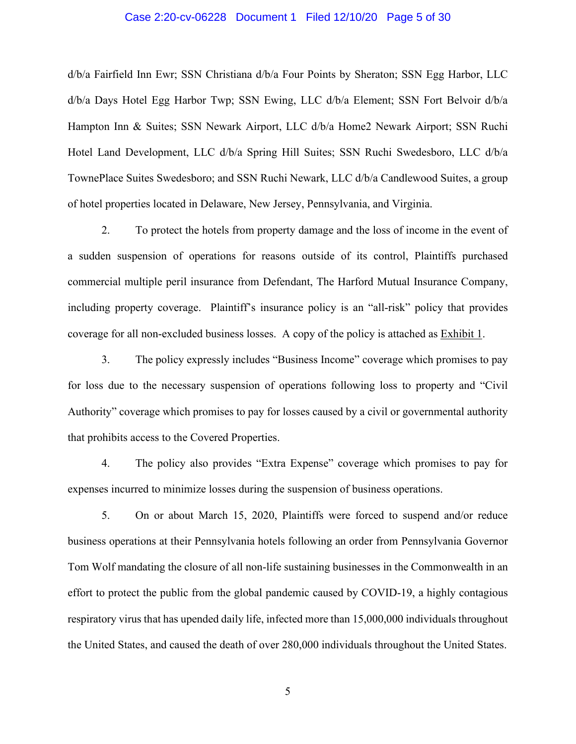#### Case 2:20-cv-06228 Document 1 Filed 12/10/20 Page 5 of 30

d/b/a Fairfield Inn Ewr; SSN Christiana d/b/a Four Points by Sheraton; SSN Egg Harbor, LLC d/b/a Days Hotel Egg Harbor Twp; SSN Ewing, LLC d/b/a Element; SSN Fort Belvoir d/b/a Hampton Inn & Suites; SSN Newark Airport, LLC d/b/a Home2 Newark Airport; SSN Ruchi Hotel Land Development, LLC d/b/a Spring Hill Suites; SSN Ruchi Swedesboro, LLC d/b/a TownePlace Suites Swedesboro; and SSN Ruchi Newark, LLC d/b/a Candlewood Suites, a group of hotel properties located in Delaware, New Jersey, Pennsylvania, and Virginia.

2. To protect the hotels from property damage and the loss of income in the event of a sudden suspension of operations for reasons outside of its control, Plaintiffs purchased commercial multiple peril insurance from Defendant, The Harford Mutual Insurance Company, including property coverage. Plaintiff's insurance policy is an "all-risk" policy that provides coverage for all non-excluded business losses. A copy of the policy is attached as Exhibit 1.

3. The policy expressly includes "Business Income" coverage which promises to pay for loss due to the necessary suspension of operations following loss to property and "Civil Authority" coverage which promises to pay for losses caused by a civil or governmental authority that prohibits access to the Covered Properties.

4. The policy also provides "Extra Expense" coverage which promises to pay for expenses incurred to minimize losses during the suspension of business operations.

5. On or about March 15, 2020, Plaintiffs were forced to suspend and/or reduce business operations at their Pennsylvania hotels following an order from Pennsylvania Governor Tom Wolf mandating the closure of all non-life sustaining businesses in the Commonwealth in an effort to protect the public from the global pandemic caused by COVID-19, a highly contagious respiratory virus that has upended daily life, infected more than 15,000,000 individuals throughout the United States, and caused the death of over 280,000 individuals throughout the United States.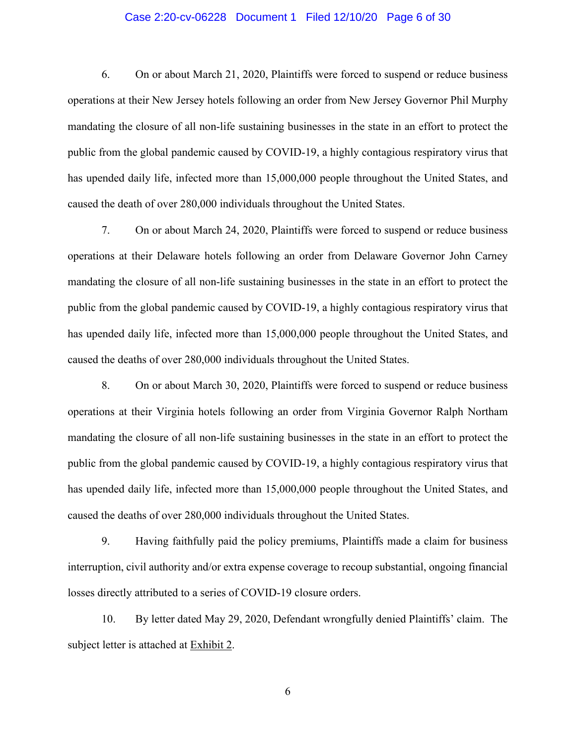### Case 2:20-cv-06228 Document 1 Filed 12/10/20 Page 6 of 30

6. On or about March 21, 2020, Plaintiffs were forced to suspend or reduce business operations at their New Jersey hotels following an order from New Jersey Governor Phil Murphy mandating the closure of all non-life sustaining businesses in the state in an effort to protect the public from the global pandemic caused by COVID-19, a highly contagious respiratory virus that has upended daily life, infected more than 15,000,000 people throughout the United States, and caused the death of over 280,000 individuals throughout the United States.

7. On or about March 24, 2020, Plaintiffs were forced to suspend or reduce business operations at their Delaware hotels following an order from Delaware Governor John Carney mandating the closure of all non-life sustaining businesses in the state in an effort to protect the public from the global pandemic caused by COVID-19, a highly contagious respiratory virus that has upended daily life, infected more than 15,000,000 people throughout the United States, and caused the deaths of over 280,000 individuals throughout the United States.

8. On or about March 30, 2020, Plaintiffs were forced to suspend or reduce business operations at their Virginia hotels following an order from Virginia Governor Ralph Northam mandating the closure of all non-life sustaining businesses in the state in an effort to protect the public from the global pandemic caused by COVID-19, a highly contagious respiratory virus that has upended daily life, infected more than 15,000,000 people throughout the United States, and caused the deaths of over 280,000 individuals throughout the United States.

9. Having faithfully paid the policy premiums, Plaintiffs made a claim for business interruption, civil authority and/or extra expense coverage to recoup substantial, ongoing financial losses directly attributed to a series of COVID-19 closure orders.

10. By letter dated May 29, 2020, Defendant wrongfully denied Plaintiffs' claim. The subject letter is attached at Exhibit 2.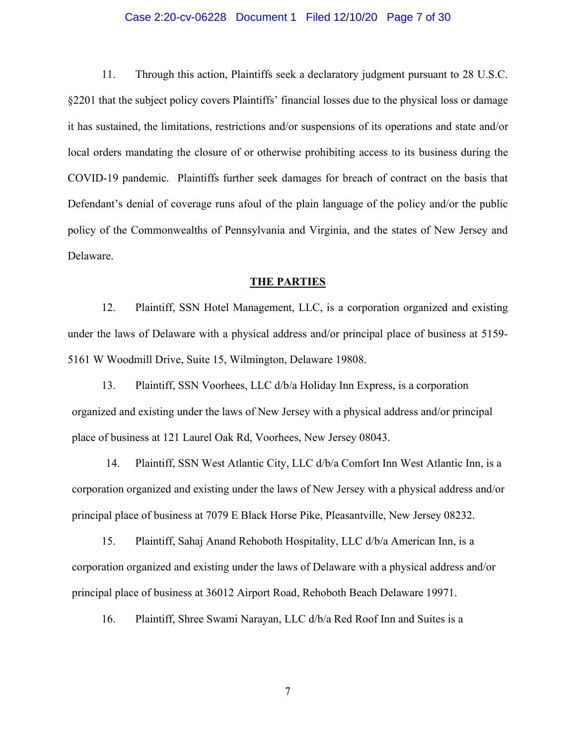#### Case 2:20-cv-06228 Document 1 Filed 12/10/20 Page 7 of 30

11. Through this action, Plaintiffs seek a declaratory judgment pursuant to 28 U.S.C. §2201 that the subject policy covers Plaintiffs' financial losses due to the physical loss or damage it has sustained, the limitations, restrictions and/or suspensions of its operations and state and/or local orders mandating the closure of or otherwise prohibiting access to its business during the COVID-19 pandemic. Plaintiffs further seek damages for breach of contract on the basis that Defendant's denial of coverage runs afoul of the plain language of the policy and/or the public policy of the Commonwealths of Pennsylvania and Virginia, and the states of New Jersey and Delaware.

#### **THE PARTIES**

12. Plaintiff, SSN Hotel Management, LLC, is a corporation organized and existing under the laws of Delaware with a physical address and/or principal place of business at 5159- 5161 W Woodmill Drive, Suite 15, Wilmington, Delaware 19808.

13. Plaintiff, SSN Voorhees, LLC d/b/a Holiday Inn Express, is a corporation organized and existing under the laws of New Jersey with a physical address and/or principal place of business at 121 Laurel Oak Rd, Voorhees, New Jersey 08043.

14. Plaintiff, SSN West Atlantic City, LLC d/b/a Comfort Inn West Atlantic Inn, is a corporation organized and existing under the laws of New Jersey with a physical address and/or principal place of business at 7079 E Black Horse Pike, Pleasantville, New Jersey 08232.

15. Plaintiff, Sahaj Anand Rehoboth Hospitality, LLC d/b/a American Inn, is a corporation organized and existing under the laws of Delaware with a physical address and/or principal place of business at 36012 Airport Road, Rehoboth Beach Delaware 19971.

16. Plaintiff, Shree Swami Narayan, LLC d/b/a Red Roof Inn and Suites is a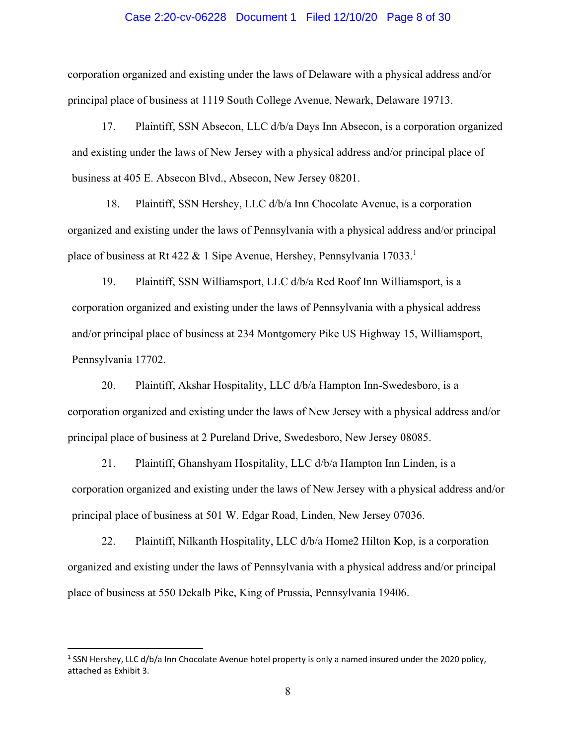#### Case 2:20-cv-06228 Document 1 Filed 12/10/20 Page 8 of 30

corporation organized and existing under the laws of Delaware with a physical address and/or principal place of business at 1119 South College Avenue, Newark, Delaware 19713.

17. Plaintiff, SSN Absecon, LLC d/b/a Days Inn Absecon, is a corporation organized and existing under the laws of New Jersey with a physical address and/or principal place of business at 405 E. Absecon Blvd., Absecon, New Jersey 08201.

18. Plaintiff, SSN Hershey, LLC d/b/a Inn Chocolate Avenue, is a corporation organized and existing under the laws of Pennsylvania with a physical address and/or principal place of business at Rt 422 & 1 Sipe Avenue, Hershey, Pennsylvania  $17033$ <sup>1</sup>

19. Plaintiff, SSN Williamsport, LLC d/b/a Red Roof Inn Williamsport, is a corporation organized and existing under the laws of Pennsylvania with a physical address and/or principal place of business at 234 Montgomery Pike US Highway 15, Williamsport, Pennsylvania 17702.

20. Plaintiff, Akshar Hospitality, LLC d/b/a Hampton Inn-Swedesboro, is a corporation organized and existing under the laws of New Jersey with a physical address and/or principal place of business at 2 Pureland Drive, Swedesboro, New Jersey 08085.

21. Plaintiff, Ghanshyam Hospitality, LLC d/b/a Hampton Inn Linden, is a corporation organized and existing under the laws of New Jersey with a physical address and/or principal place of business at 501 W. Edgar Road, Linden, New Jersey 07036.

22. Plaintiff, Nilkanth Hospitality, LLC d/b/a Home2 Hilton Kop, is a corporation organized and existing under the laws of Pennsylvania with a physical address and/or principal place of business at 550 Dekalb Pike, King of Prussia, Pennsylvania 19406.

<sup>&</sup>lt;sup>1</sup> SSN Hershey, LLC d/b/a Inn Chocolate Avenue hotel property is only a named insured under the 2020 policy, attached as Exhibit 3.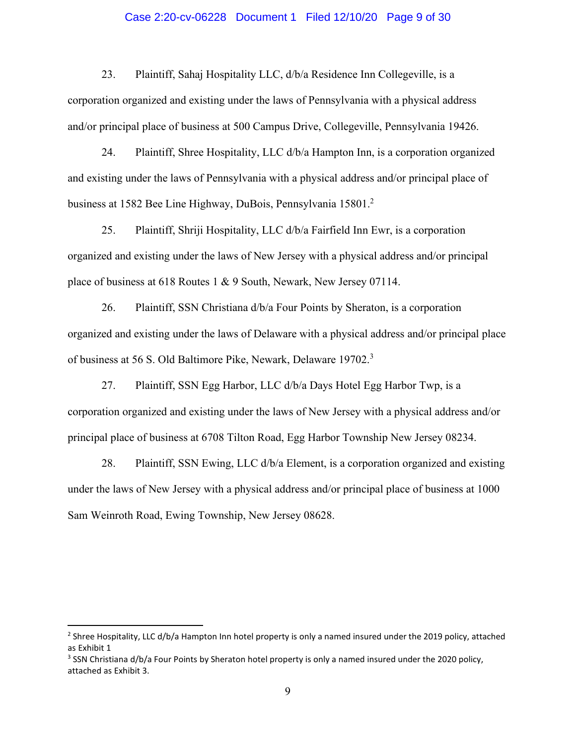### Case 2:20-cv-06228 Document 1 Filed 12/10/20 Page 9 of 30

23. Plaintiff, Sahaj Hospitality LLC, d/b/a Residence Inn Collegeville, is a corporation organized and existing under the laws of Pennsylvania with a physical address and/or principal place of business at 500 Campus Drive, Collegeville, Pennsylvania 19426.

24. Plaintiff, Shree Hospitality, LLC d/b/a Hampton Inn, is a corporation organized and existing under the laws of Pennsylvania with a physical address and/or principal place of business at 1582 Bee Line Highway, DuBois, Pennsylvania 15801.2

25. Plaintiff, Shriji Hospitality, LLC d/b/a Fairfield Inn Ewr, is a corporation organized and existing under the laws of New Jersey with a physical address and/or principal place of business at 618 Routes 1 & 9 South, Newark, New Jersey 07114.

26. Plaintiff, SSN Christiana d/b/a Four Points by Sheraton, is a corporation organized and existing under the laws of Delaware with a physical address and/or principal place of business at 56 S. Old Baltimore Pike, Newark, Delaware 19702.<sup>3</sup>

27. Plaintiff, SSN Egg Harbor, LLC d/b/a Days Hotel Egg Harbor Twp, is a corporation organized and existing under the laws of New Jersey with a physical address and/or principal place of business at 6708 Tilton Road, Egg Harbor Township New Jersey 08234.

28. Plaintiff, SSN Ewing, LLC d/b/a Element, is a corporation organized and existing under the laws of New Jersey with a physical address and/or principal place of business at 1000 Sam Weinroth Road, Ewing Township, New Jersey 08628.

<sup>&</sup>lt;sup>2</sup> Shree Hospitality, LLC d/b/a Hampton Inn hotel property is only a named insured under the 2019 policy, attached as Exhibit 1

<sup>&</sup>lt;sup>3</sup> SSN Christiana d/b/a Four Points by Sheraton hotel property is only a named insured under the 2020 policy, attached as Exhibit 3.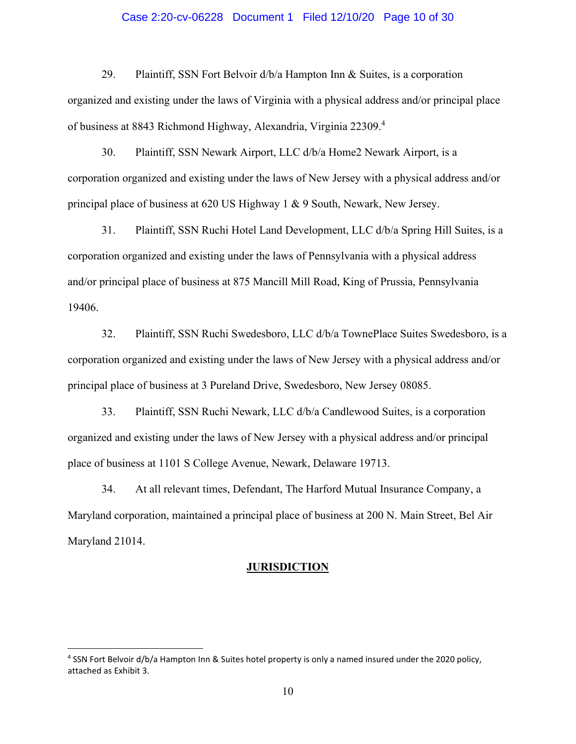#### Case 2:20-cv-06228 Document 1 Filed 12/10/20 Page 10 of 30

29. Plaintiff, SSN Fort Belvoir d/b/a Hampton Inn & Suites, is a corporation organized and existing under the laws of Virginia with a physical address and/or principal place of business at 8843 Richmond Highway, Alexandria, Virginia 22309.<sup>4</sup>

30. Plaintiff, SSN Newark Airport, LLC d/b/a Home2 Newark Airport, is a corporation organized and existing under the laws of New Jersey with a physical address and/or principal place of business at 620 US Highway 1 & 9 South, Newark, New Jersey.

31. Plaintiff, SSN Ruchi Hotel Land Development, LLC d/b/a Spring Hill Suites, is a corporation organized and existing under the laws of Pennsylvania with a physical address and/or principal place of business at 875 Mancill Mill Road, King of Prussia, Pennsylvania 19406.

32. Plaintiff, SSN Ruchi Swedesboro, LLC d/b/a TownePlace Suites Swedesboro, is a corporation organized and existing under the laws of New Jersey with a physical address and/or principal place of business at 3 Pureland Drive, Swedesboro, New Jersey 08085.

33. Plaintiff, SSN Ruchi Newark, LLC d/b/a Candlewood Suites, is a corporation organized and existing under the laws of New Jersey with a physical address and/or principal place of business at 1101 S College Avenue, Newark, Delaware 19713.

34. At all relevant times, Defendant, The Harford Mutual Insurance Company, a Maryland corporation, maintained a principal place of business at 200 N. Main Street, Bel Air Maryland 21014.

#### **JURISDICTION**

<sup>&</sup>lt;sup>4</sup> SSN Fort Belvoir d/b/a Hampton Inn & Suites hotel property is only a named insured under the 2020 policy, attached as Exhibit 3.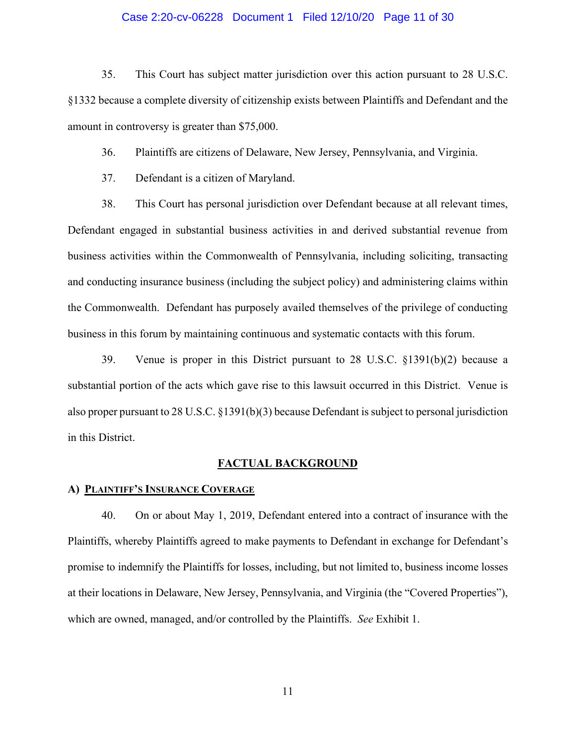### Case 2:20-cv-06228 Document 1 Filed 12/10/20 Page 11 of 30

35. This Court has subject matter jurisdiction over this action pursuant to 28 U.S.C. §1332 because a complete diversity of citizenship exists between Plaintiffs and Defendant and the amount in controversy is greater than \$75,000.

36. Plaintiffs are citizens of Delaware, New Jersey, Pennsylvania, and Virginia.

37. Defendant is a citizen of Maryland.

38. This Court has personal jurisdiction over Defendant because at all relevant times, Defendant engaged in substantial business activities in and derived substantial revenue from business activities within the Commonwealth of Pennsylvania, including soliciting, transacting and conducting insurance business (including the subject policy) and administering claims within the Commonwealth. Defendant has purposely availed themselves of the privilege of conducting business in this forum by maintaining continuous and systematic contacts with this forum.

39. Venue is proper in this District pursuant to 28 U.S.C. §1391(b)(2) because a substantial portion of the acts which gave rise to this lawsuit occurred in this District. Venue is also proper pursuant to 28 U.S.C. §1391(b)(3) because Defendant is subject to personal jurisdiction in this District.

#### **FACTUAL BACKGROUND**

#### **A) PLAINTIFF'S INSURANCE COVERAGE**

40. On or about May 1, 2019, Defendant entered into a contract of insurance with the Plaintiffs, whereby Plaintiffs agreed to make payments to Defendant in exchange for Defendant's promise to indemnify the Plaintiffs for losses, including, but not limited to, business income losses at their locations in Delaware, New Jersey, Pennsylvania, and Virginia (the "Covered Properties"), which are owned, managed, and/or controlled by the Plaintiffs. *See* Exhibit 1.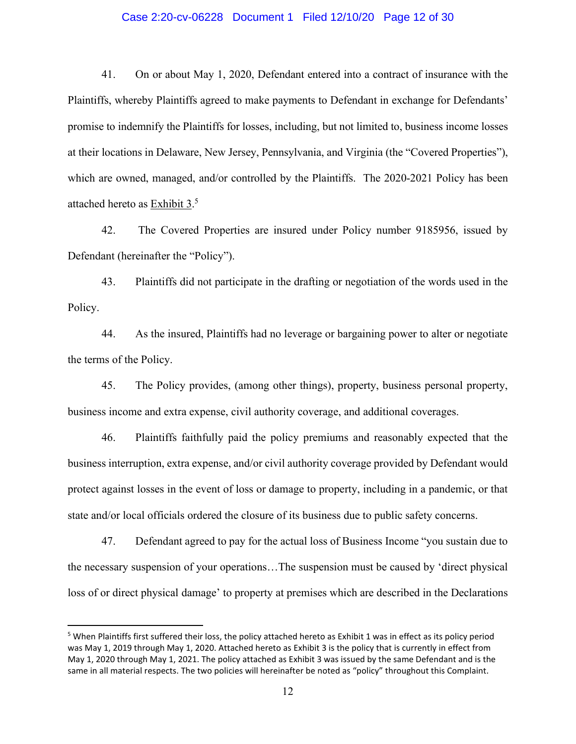#### Case 2:20-cv-06228 Document 1 Filed 12/10/20 Page 12 of 30

41. On or about May 1, 2020, Defendant entered into a contract of insurance with the Plaintiffs, whereby Plaintiffs agreed to make payments to Defendant in exchange for Defendants' promise to indemnify the Plaintiffs for losses, including, but not limited to, business income losses at their locations in Delaware, New Jersey, Pennsylvania, and Virginia (the "Covered Properties"), which are owned, managed, and/or controlled by the Plaintiffs. The 2020-2021 Policy has been attached hereto as Exhibit 3.5

42. The Covered Properties are insured under Policy number 9185956, issued by Defendant (hereinafter the "Policy").

43. Plaintiffs did not participate in the drafting or negotiation of the words used in the Policy.

44. As the insured, Plaintiffs had no leverage or bargaining power to alter or negotiate the terms of the Policy.

45. The Policy provides, (among other things), property, business personal property, business income and extra expense, civil authority coverage, and additional coverages.

46. Plaintiffs faithfully paid the policy premiums and reasonably expected that the business interruption, extra expense, and/or civil authority coverage provided by Defendant would protect against losses in the event of loss or damage to property, including in a pandemic, or that state and/or local officials ordered the closure of its business due to public safety concerns.

47. Defendant agreed to pay for the actual loss of Business Income "you sustain due to the necessary suspension of your operations…The suspension must be caused by 'direct physical loss of or direct physical damage' to property at premises which are described in the Declarations

<sup>&</sup>lt;sup>5</sup> When Plaintiffs first suffered their loss, the policy attached hereto as Exhibit 1 was in effect as its policy period was May 1, 2019 through May 1, 2020. Attached hereto as Exhibit 3 is the policy that is currently in effect from May 1, 2020 through May 1, 2021. The policy attached as Exhibit 3 was issued by the same Defendant and is the same in all material respects. The two policies will hereinafter be noted as "policy" throughout this Complaint.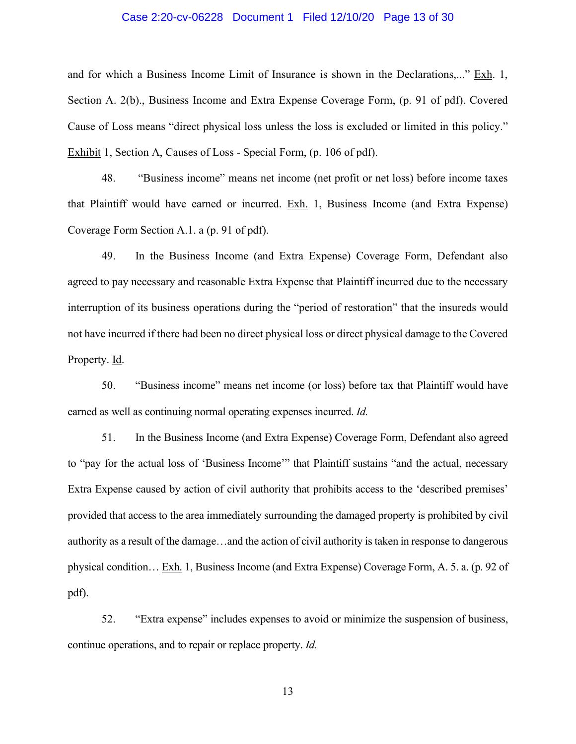### Case 2:20-cv-06228 Document 1 Filed 12/10/20 Page 13 of 30

and for which a Business Income Limit of Insurance is shown in the Declarations,..." Exh. 1, Section A. 2(b)., Business Income and Extra Expense Coverage Form, (p. 91 of pdf). Covered Cause of Loss means "direct physical loss unless the loss is excluded or limited in this policy." Exhibit 1, Section A, Causes of Loss - Special Form, (p. 106 of pdf).

48. "Business income" means net income (net profit or net loss) before income taxes that Plaintiff would have earned or incurred. Exh. 1, Business Income (and Extra Expense) Coverage Form Section A.1. a (p. 91 of pdf).

49. In the Business Income (and Extra Expense) Coverage Form, Defendant also agreed to pay necessary and reasonable Extra Expense that Plaintiff incurred due to the necessary interruption of its business operations during the "period of restoration" that the insureds would not have incurred if there had been no direct physical loss or direct physical damage to the Covered Property. Id.

50. "Business income" means net income (or loss) before tax that Plaintiff would have earned as well as continuing normal operating expenses incurred. *Id.*

51. In the Business Income (and Extra Expense) Coverage Form, Defendant also agreed to "pay for the actual loss of 'Business Income'" that Plaintiff sustains "and the actual, necessary Extra Expense caused by action of civil authority that prohibits access to the 'described premises' provided that access to the area immediately surrounding the damaged property is prohibited by civil authority as a result of the damage…and the action of civil authority is taken in response to dangerous physical condition… Exh. 1, Business Income (and Extra Expense) Coverage Form, A. 5. a. (p. 92 of pdf).

52. "Extra expense" includes expenses to avoid or minimize the suspension of business, continue operations, and to repair or replace property. *Id.*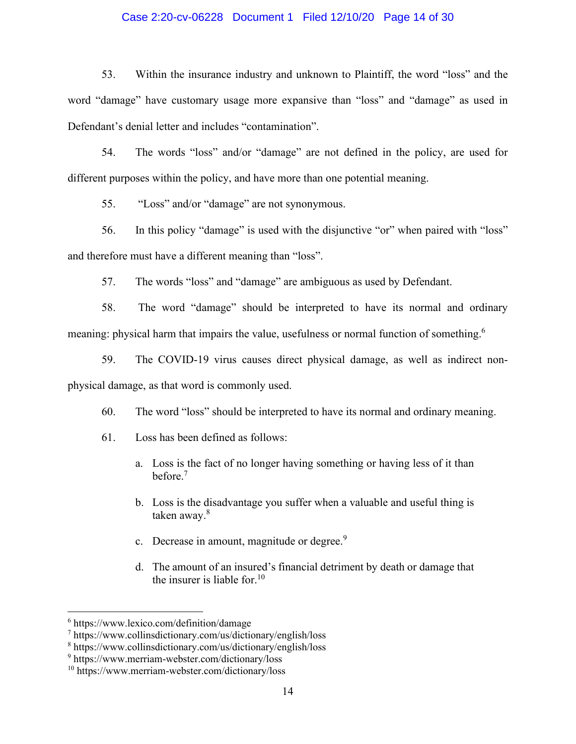### Case 2:20-cv-06228 Document 1 Filed 12/10/20 Page 14 of 30

53. Within the insurance industry and unknown to Plaintiff, the word "loss" and the word "damage" have customary usage more expansive than "loss" and "damage" as used in Defendant's denial letter and includes "contamination".

54. The words "loss" and/or "damage" are not defined in the policy, are used for different purposes within the policy, and have more than one potential meaning.

55. "Loss" and/or "damage" are not synonymous.

56. In this policy "damage" is used with the disjunctive "or" when paired with "loss" and therefore must have a different meaning than "loss".

57. The words "loss" and "damage" are ambiguous as used by Defendant.

58. The word "damage" should be interpreted to have its normal and ordinary meaning: physical harm that impairs the value, usefulness or normal function of something.<sup>6</sup>

59. The COVID-19 virus causes direct physical damage, as well as indirect nonphysical damage, as that word is commonly used.

60. The word "loss" should be interpreted to have its normal and ordinary meaning.

- 61. Loss has been defined as follows:
	- a. Loss is the fact of no longer having something or having less of it than before.<sup>7</sup>
	- b. Loss is the disadvantage you suffer when a valuable and useful thing is taken away.<sup>8</sup>
	- c. Decrease in amount, magnitude or degree.<sup>9</sup>
	- d. The amount of an insured's financial detriment by death or damage that the insurer is liable for  $10$

<sup>6</sup> https://www.lexico.com/definition/damage

<sup>7</sup> https://www.collinsdictionary.com/us/dictionary/english/loss

<sup>8</sup> https://www.collinsdictionary.com/us/dictionary/english/loss

<sup>9</sup> https://www.merriam-webster.com/dictionary/loss

<sup>10</sup> https://www.merriam-webster.com/dictionary/loss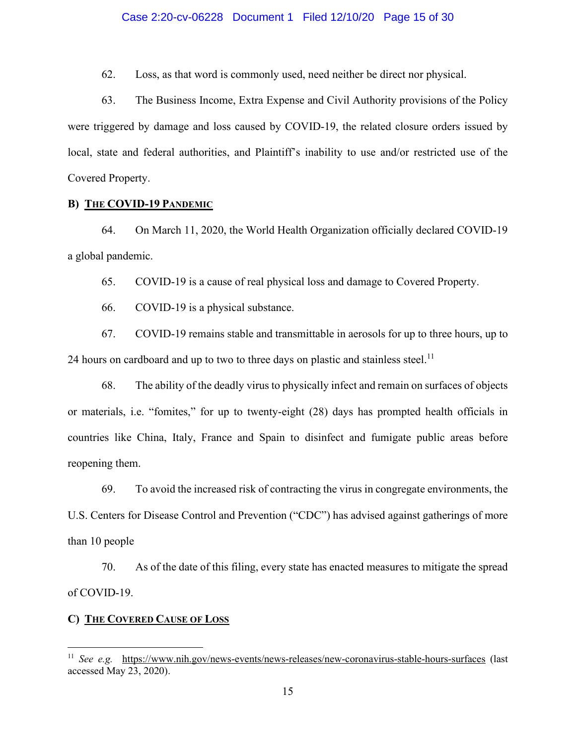#### Case 2:20-cv-06228 Document 1 Filed 12/10/20 Page 15 of 30

62. Loss, as that word is commonly used, need neither be direct nor physical.

63. The Business Income, Extra Expense and Civil Authority provisions of the Policy were triggered by damage and loss caused by COVID-19, the related closure orders issued by local, state and federal authorities, and Plaintiff's inability to use and/or restricted use of the Covered Property.

## **B) THE COVID-19 PANDEMIC**

64. On March 11, 2020, the World Health Organization officially declared COVID-19 a global pandemic.

65. COVID-19 is a cause of real physical loss and damage to Covered Property.

66. COVID-19 is a physical substance.

67. COVID-19 remains stable and transmittable in aerosols for up to three hours, up to 24 hours on cardboard and up to two to three days on plastic and stainless steel.<sup>11</sup>

68. The ability of the deadly virus to physically infect and remain on surfaces of objects or materials, i.e. "fomites," for up to twenty-eight (28) days has prompted health officials in countries like China, Italy, France and Spain to disinfect and fumigate public areas before reopening them.

69. To avoid the increased risk of contracting the virus in congregate environments, the U.S. Centers for Disease Control and Prevention ("CDC") has advised against gatherings of more than 10 people

70. As of the date of this filing, every state has enacted measures to mitigate the spread of COVID-19.

## **C) THE COVERED CAUSE OF LOSS**

<sup>11</sup> *See e.g.* <https://www.nih.gov/news-events/news-releases/new-coronavirus-stable-hours-surfaces>(last accessed May 23, 2020).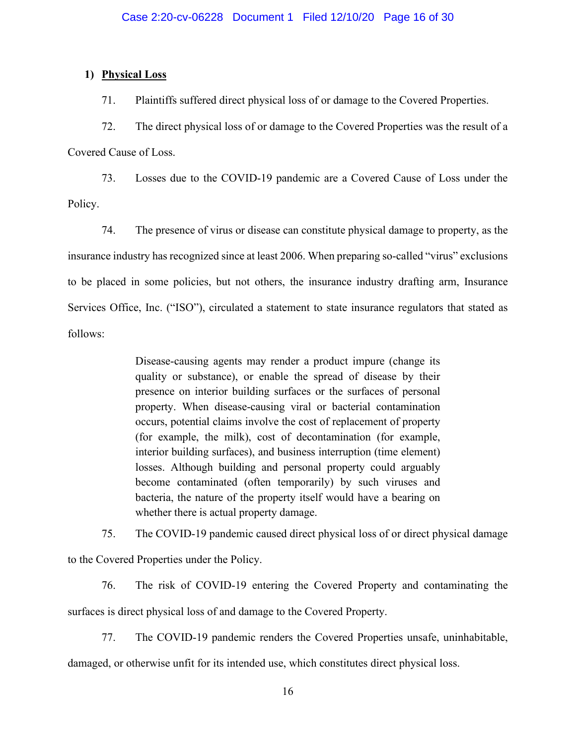## **1) Physical Loss**

71. Plaintiffs suffered direct physical loss of or damage to the Covered Properties.

72. The direct physical loss of or damage to the Covered Properties was the result of a Covered Cause of Loss.

73. Losses due to the COVID-19 pandemic are a Covered Cause of Loss under the Policy.

74. The presence of virus or disease can constitute physical damage to property, as the insurance industry has recognized since at least 2006. When preparing so-called "virus" exclusions to be placed in some policies, but not others, the insurance industry drafting arm, Insurance Services Office, Inc. ("ISO"), circulated a statement to state insurance regulators that stated as follows:

> Disease-causing agents may render a product impure (change its quality or substance), or enable the spread of disease by their presence on interior building surfaces or the surfaces of personal property. When disease-causing viral or bacterial contamination occurs, potential claims involve the cost of replacement of property (for example, the milk), cost of decontamination (for example, interior building surfaces), and business interruption (time element) losses. Although building and personal property could arguably become contaminated (often temporarily) by such viruses and bacteria, the nature of the property itself would have a bearing on whether there is actual property damage.

75. The COVID-19 pandemic caused direct physical loss of or direct physical damage

to the Covered Properties under the Policy.

76. The risk of COVID-19 entering the Covered Property and contaminating the surfaces is direct physical loss of and damage to the Covered Property.

77. The COVID-19 pandemic renders the Covered Properties unsafe, uninhabitable,

damaged, or otherwise unfit for its intended use, which constitutes direct physical loss.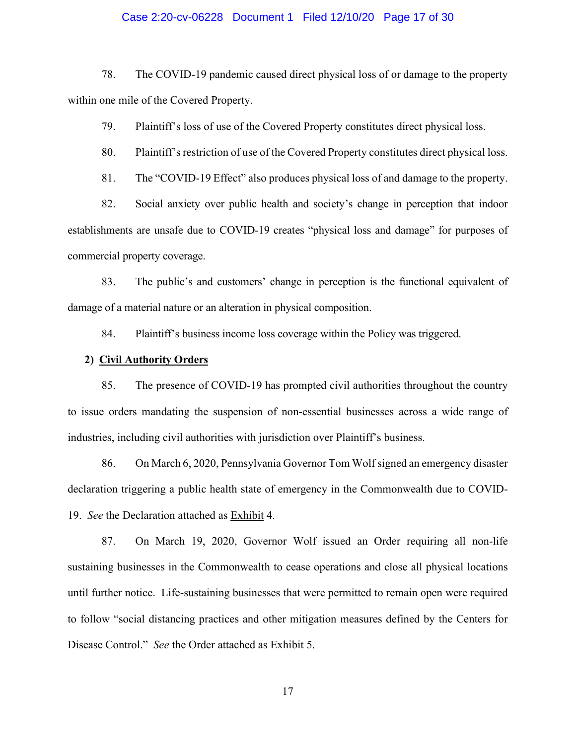#### Case 2:20-cv-06228 Document 1 Filed 12/10/20 Page 17 of 30

78. The COVID-19 pandemic caused direct physical loss of or damage to the property within one mile of the Covered Property.

79. Plaintiff's loss of use of the Covered Property constitutes direct physical loss.

80. Plaintiff's restriction of use of the Covered Property constitutes direct physical loss.

81. The "COVID-19 Effect" also produces physical loss of and damage to the property.

82. Social anxiety over public health and society's change in perception that indoor establishments are unsafe due to COVID-19 creates "physical loss and damage" for purposes of commercial property coverage.

83. The public's and customers' change in perception is the functional equivalent of damage of a material nature or an alteration in physical composition.

84. Plaintiff's business income loss coverage within the Policy was triggered.

#### **2) Civil Authority Orders**

85. The presence of COVID-19 has prompted civil authorities throughout the country to issue orders mandating the suspension of non-essential businesses across a wide range of industries, including civil authorities with jurisdiction over Plaintiff's business.

86. On March 6, 2020, Pennsylvania Governor Tom Wolf signed an emergency disaster declaration triggering a public health state of emergency in the Commonwealth due to COVID-19. *See* the Declaration attached as Exhibit 4.

87. On March 19, 2020, Governor Wolf issued an Order requiring all non-life sustaining businesses in the Commonwealth to cease operations and close all physical locations until further notice. Life-sustaining businesses that were permitted to remain open were required to follow "social distancing practices and other mitigation measures defined by the Centers for Disease Control." *See* the Order attached as Exhibit 5.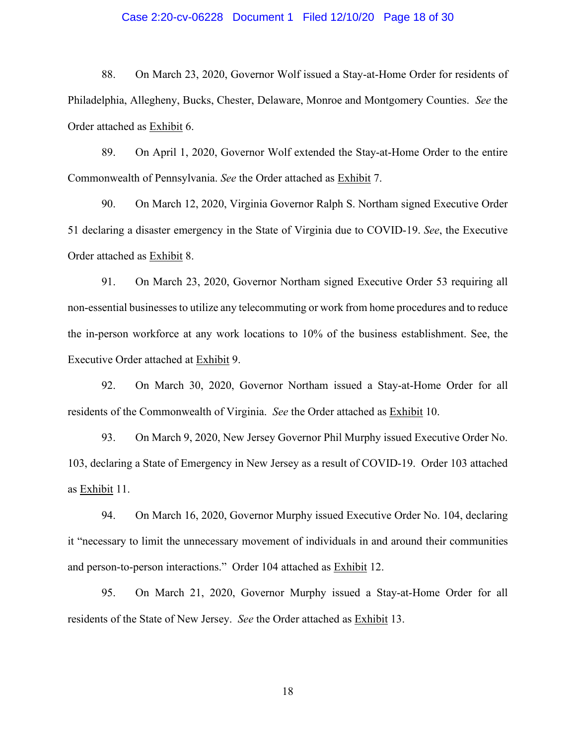### Case 2:20-cv-06228 Document 1 Filed 12/10/20 Page 18 of 30

88. On March 23, 2020, Governor Wolf issued a Stay-at-Home Order for residents of Philadelphia, Allegheny, Bucks, Chester, Delaware, Monroe and Montgomery Counties. *See* the Order attached as Exhibit 6.

89. On April 1, 2020, Governor Wolf extended the Stay-at-Home Order to the entire Commonwealth of Pennsylvania. *See* the Order attached as Exhibit 7.

90. On March 12, 2020, Virginia Governor Ralph S. Northam signed Executive Order 51 declaring a disaster emergency in the State of Virginia due to COVID-19. *See*, the Executive Order attached as Exhibit 8.

91. On March 23, 2020, Governor Northam signed Executive Order 53 requiring all non-essential businesses to utilize any telecommuting or work from home procedures and to reduce the in-person workforce at any work locations to 10% of the business establishment. See, the Executive Order attached at Exhibit 9.

92. On March 30, 2020, Governor Northam issued a Stay-at-Home Order for all residents of the Commonwealth of Virginia. *See* the Order attached as Exhibit 10.

93. On March 9, 2020, New Jersey Governor Phil Murphy issued Executive Order No. 103, declaring a State of Emergency in New Jersey as a result of COVID-19. Order 103 attached as Exhibit 11.

94. On March 16, 2020, Governor Murphy issued Executive Order No. 104, declaring it "necessary to limit the unnecessary movement of individuals in and around their communities and person-to-person interactions." Order 104 attached as Exhibit 12.

95. On March 21, 2020, Governor Murphy issued a Stay-at-Home Order for all residents of the State of New Jersey. *See* the Order attached as Exhibit 13.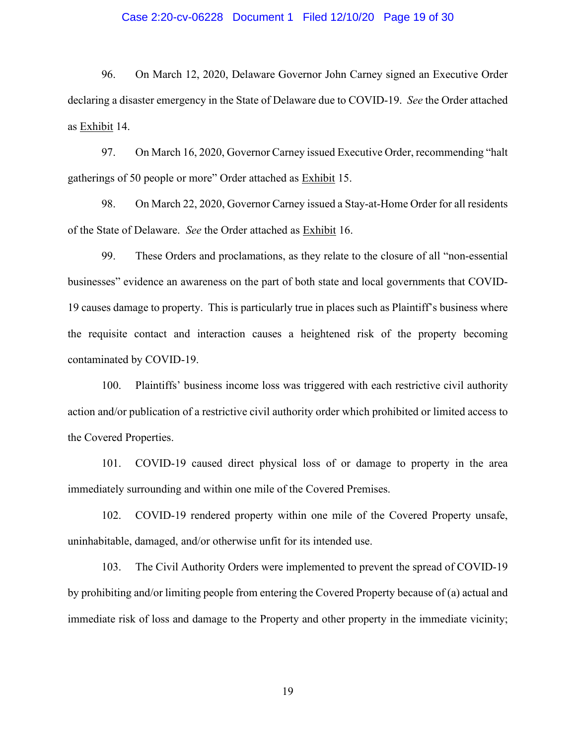#### Case 2:20-cv-06228 Document 1 Filed 12/10/20 Page 19 of 30

96. On March 12, 2020, Delaware Governor John Carney signed an Executive Order declaring a disaster emergency in the State of Delaware due to COVID-19. *See* the Order attached as Exhibit 14.

97. On March 16, 2020, Governor Carney issued Executive Order, recommending "halt gatherings of 50 people or more" Order attached as Exhibit 15.

98. On March 22, 2020, Governor Carney issued a Stay-at-Home Order for all residents of the State of Delaware. *See* the Order attached as Exhibit 16.

99. These Orders and proclamations, as they relate to the closure of all "non-essential businesses" evidence an awareness on the part of both state and local governments that COVID-19 causes damage to property. This is particularly true in places such as Plaintiff's business where the requisite contact and interaction causes a heightened risk of the property becoming contaminated by COVID-19.

100. Plaintiffs' business income loss was triggered with each restrictive civil authority action and/or publication of a restrictive civil authority order which prohibited or limited access to the Covered Properties.

101. COVID-19 caused direct physical loss of or damage to property in the area immediately surrounding and within one mile of the Covered Premises.

102. COVID-19 rendered property within one mile of the Covered Property unsafe, uninhabitable, damaged, and/or otherwise unfit for its intended use.

103. The Civil Authority Orders were implemented to prevent the spread of COVID-19 by prohibiting and/or limiting people from entering the Covered Property because of (a) actual and immediate risk of loss and damage to the Property and other property in the immediate vicinity;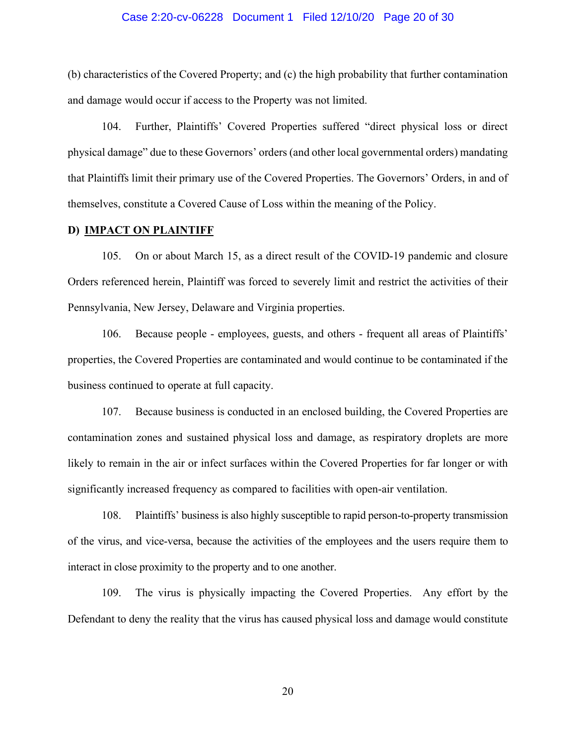#### Case 2:20-cv-06228 Document 1 Filed 12/10/20 Page 20 of 30

(b) characteristics of the Covered Property; and (c) the high probability that further contamination and damage would occur if access to the Property was not limited.

104. Further, Plaintiffs' Covered Properties suffered "direct physical loss or direct physical damage" due to these Governors' orders (and other local governmental orders) mandating that Plaintiffs limit their primary use of the Covered Properties. The Governors' Orders, in and of themselves, constitute a Covered Cause of Loss within the meaning of the Policy.

#### **D) IMPACT ON PLAINTIFF**

105. On or about March 15, as a direct result of the COVID-19 pandemic and closure Orders referenced herein, Plaintiff was forced to severely limit and restrict the activities of their Pennsylvania, New Jersey, Delaware and Virginia properties.

106. Because people - employees, guests, and others - frequent all areas of Plaintiffs' properties, the Covered Properties are contaminated and would continue to be contaminated if the business continued to operate at full capacity.

107. Because business is conducted in an enclosed building, the Covered Properties are contamination zones and sustained physical loss and damage, as respiratory droplets are more likely to remain in the air or infect surfaces within the Covered Properties for far longer or with significantly increased frequency as compared to facilities with open-air ventilation.

108. Plaintiffs' business is also highly susceptible to rapid person-to-property transmission of the virus, and vice-versa, because the activities of the employees and the users require them to interact in close proximity to the property and to one another.

109. The virus is physically impacting the Covered Properties. Any effort by the Defendant to deny the reality that the virus has caused physical loss and damage would constitute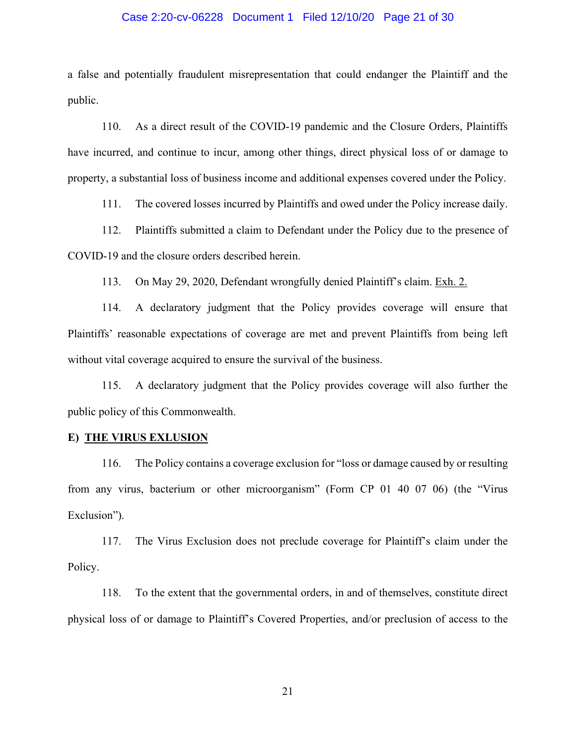#### Case 2:20-cv-06228 Document 1 Filed 12/10/20 Page 21 of 30

a false and potentially fraudulent misrepresentation that could endanger the Plaintiff and the public.

110. As a direct result of the COVID-19 pandemic and the Closure Orders, Plaintiffs have incurred, and continue to incur, among other things, direct physical loss of or damage to property, a substantial loss of business income and additional expenses covered under the Policy.

111. The covered losses incurred by Plaintiffs and owed under the Policy increase daily.

112. Plaintiffs submitted a claim to Defendant under the Policy due to the presence of COVID-19 and the closure orders described herein.

113. On May 29, 2020, Defendant wrongfully denied Plaintiff's claim. Exh. 2.

114. A declaratory judgment that the Policy provides coverage will ensure that Plaintiffs' reasonable expectations of coverage are met and prevent Plaintiffs from being left without vital coverage acquired to ensure the survival of the business.

115. A declaratory judgment that the Policy provides coverage will also further the public policy of this Commonwealth.

### **E) THE VIRUS EXLUSION**

116. The Policy contains a coverage exclusion for "loss or damage caused by or resulting from any virus, bacterium or other microorganism" (Form CP 01 40 07 06) (the "Virus Exclusion").

117. The Virus Exclusion does not preclude coverage for Plaintiff's claim under the Policy.

118. To the extent that the governmental orders, in and of themselves, constitute direct physical loss of or damage to Plaintiff's Covered Properties, and/or preclusion of access to the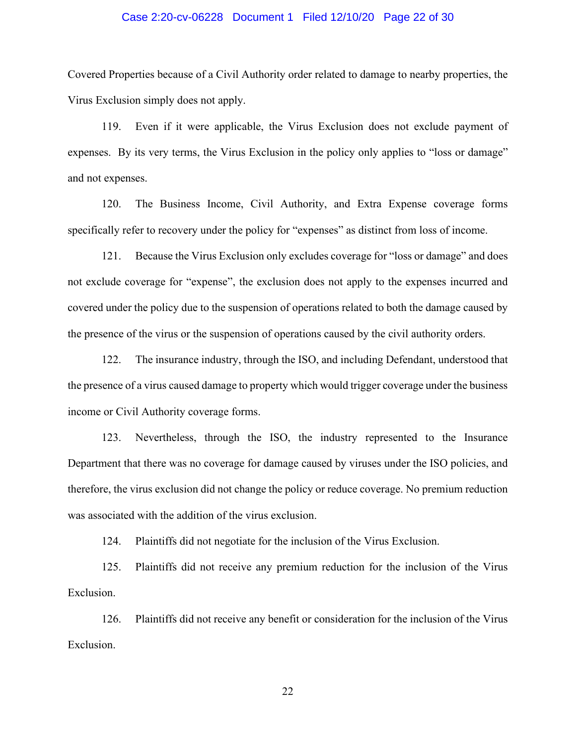#### Case 2:20-cv-06228 Document 1 Filed 12/10/20 Page 22 of 30

Covered Properties because of a Civil Authority order related to damage to nearby properties, the Virus Exclusion simply does not apply.

119. Even if it were applicable, the Virus Exclusion does not exclude payment of expenses. By its very terms, the Virus Exclusion in the policy only applies to "loss or damage" and not expenses.

120. The Business Income, Civil Authority, and Extra Expense coverage forms specifically refer to recovery under the policy for "expenses" as distinct from loss of income.

121. Because the Virus Exclusion only excludes coverage for "loss or damage" and does not exclude coverage for "expense", the exclusion does not apply to the expenses incurred and covered under the policy due to the suspension of operations related to both the damage caused by the presence of the virus or the suspension of operations caused by the civil authority orders.

122. The insurance industry, through the ISO, and including Defendant, understood that the presence of a virus caused damage to property which would trigger coverage under the business income or Civil Authority coverage forms.

123. Nevertheless, through the ISO, the industry represented to the Insurance Department that there was no coverage for damage caused by viruses under the ISO policies, and therefore, the virus exclusion did not change the policy or reduce coverage. No premium reduction was associated with the addition of the virus exclusion.

124. Plaintiffs did not negotiate for the inclusion of the Virus Exclusion.

125. Plaintiffs did not receive any premium reduction for the inclusion of the Virus Exclusion.

126. Plaintiffs did not receive any benefit or consideration for the inclusion of the Virus Exclusion.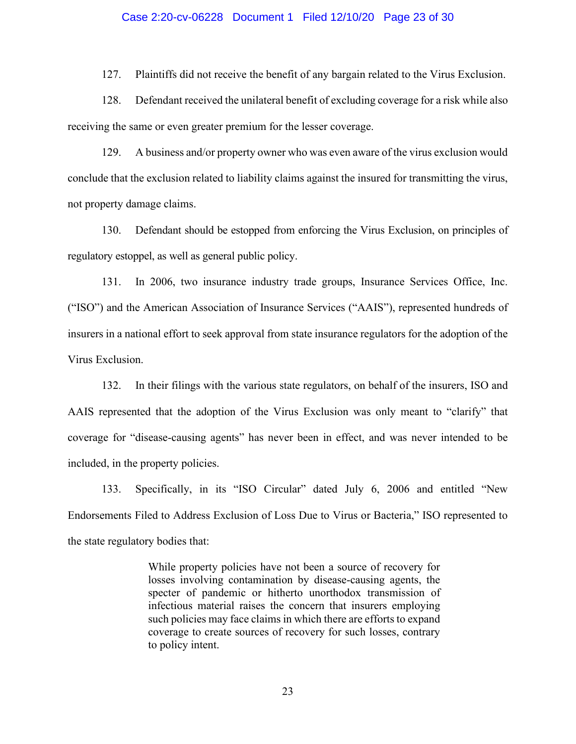#### Case 2:20-cv-06228 Document 1 Filed 12/10/20 Page 23 of 30

127. Plaintiffs did not receive the benefit of any bargain related to the Virus Exclusion.

128. Defendant received the unilateral benefit of excluding coverage for a risk while also receiving the same or even greater premium for the lesser coverage.

129. A business and/or property owner who was even aware of the virus exclusion would conclude that the exclusion related to liability claims against the insured for transmitting the virus, not property damage claims.

130. Defendant should be estopped from enforcing the Virus Exclusion, on principles of regulatory estoppel, as well as general public policy.

131. In 2006, two insurance industry trade groups, Insurance Services Office, Inc. ("ISO") and the American Association of Insurance Services ("AAIS"), represented hundreds of insurers in a national effort to seek approval from state insurance regulators for the adoption of the Virus Exclusion.

132. In their filings with the various state regulators, on behalf of the insurers, ISO and AAIS represented that the adoption of the Virus Exclusion was only meant to "clarify" that coverage for "disease-causing agents" has never been in effect, and was never intended to be included, in the property policies.

133. Specifically, in its "ISO Circular" dated July 6, 2006 and entitled "New Endorsements Filed to Address Exclusion of Loss Due to Virus or Bacteria," ISO represented to the state regulatory bodies that:

> While property policies have not been a source of recovery for losses involving contamination by disease-causing agents, the specter of pandemic or hitherto unorthodox transmission of infectious material raises the concern that insurers employing such policies may face claims in which there are efforts to expand coverage to create sources of recovery for such losses, contrary to policy intent.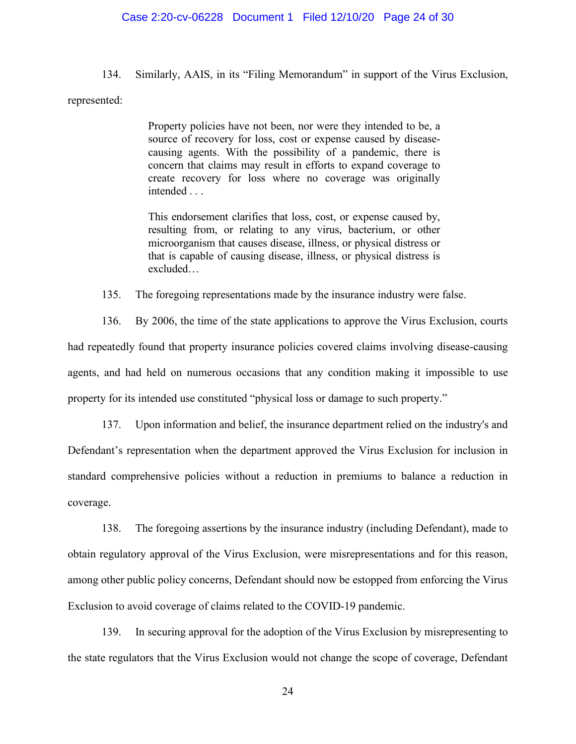#### Case 2:20-cv-06228 Document 1 Filed 12/10/20 Page 24 of 30

134. Similarly, AAIS, in its "Filing Memorandum" in support of the Virus Exclusion, represented:

> Property policies have not been, nor were they intended to be, a source of recovery for loss, cost or expense caused by diseasecausing agents. With the possibility of a pandemic, there is concern that claims may result in efforts to expand coverage to create recovery for loss where no coverage was originally intended . . .

> This endorsement clarifies that loss, cost, or expense caused by, resulting from, or relating to any virus, bacterium, or other microorganism that causes disease, illness, or physical distress or that is capable of causing disease, illness, or physical distress is excluded…

135. The foregoing representations made by the insurance industry were false.

136. By 2006, the time of the state applications to approve the Virus Exclusion, courts had repeatedly found that property insurance policies covered claims involving disease-causing agents, and had held on numerous occasions that any condition making it impossible to use property for its intended use constituted "physical loss or damage to such property."

137. Upon information and belief, the insurance department relied on the industry's and Defendant's representation when the department approved the Virus Exclusion for inclusion in standard comprehensive policies without a reduction in premiums to balance a reduction in coverage.

138. The foregoing assertions by the insurance industry (including Defendant), made to obtain regulatory approval of the Virus Exclusion, were misrepresentations and for this reason, among other public policy concerns, Defendant should now be estopped from enforcing the Virus Exclusion to avoid coverage of claims related to the COVID-19 pandemic.

139. In securing approval for the adoption of the Virus Exclusion by misrepresenting to the state regulators that the Virus Exclusion would not change the scope of coverage, Defendant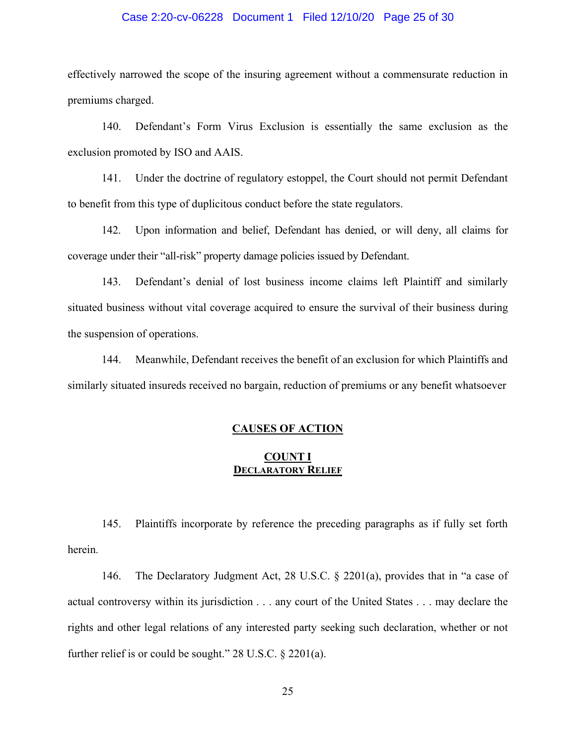### Case 2:20-cv-06228 Document 1 Filed 12/10/20 Page 25 of 30

effectively narrowed the scope of the insuring agreement without a commensurate reduction in premiums charged.

140. Defendant's Form Virus Exclusion is essentially the same exclusion as the exclusion promoted by ISO and AAIS.

141. Under the doctrine of regulatory estoppel, the Court should not permit Defendant to benefit from this type of duplicitous conduct before the state regulators.

142. Upon information and belief, Defendant has denied, or will deny, all claims for coverage under their "all-risk" property damage policies issued by Defendant.

143. Defendant's denial of lost business income claims left Plaintiff and similarly situated business without vital coverage acquired to ensure the survival of their business during the suspension of operations.

144. Meanwhile, Defendant receives the benefit of an exclusion for which Plaintiffs and similarly situated insureds received no bargain, reduction of premiums or any benefit whatsoever

## **CAUSES OF ACTION**

## **COUNT I DECLARATORY RELIEF**

145. Plaintiffs incorporate by reference the preceding paragraphs as if fully set forth herein.

146. The Declaratory Judgment Act, 28 U.S.C. § 2201(a), provides that in "a case of actual controversy within its jurisdiction . . . any court of the United States . . . may declare the rights and other legal relations of any interested party seeking such declaration, whether or not further relief is or could be sought." 28 U.S.C. § 2201(a).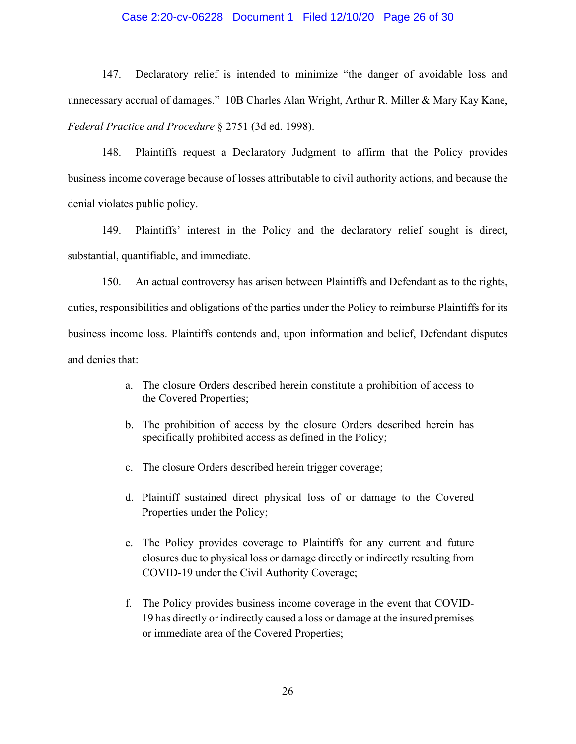### Case 2:20-cv-06228 Document 1 Filed 12/10/20 Page 26 of 30

147. Declaratory relief is intended to minimize "the danger of avoidable loss and unnecessary accrual of damages." 10B Charles Alan Wright, Arthur R. Miller & Mary Kay Kane, *Federal Practice and Procedure* § 2751 (3d ed. 1998).

148. Plaintiffs request a Declaratory Judgment to affirm that the Policy provides business income coverage because of losses attributable to civil authority actions, and because the denial violates public policy.

149. Plaintiffs' interest in the Policy and the declaratory relief sought is direct, substantial, quantifiable, and immediate.

150. An actual controversy has arisen between Plaintiffs and Defendant as to the rights, duties, responsibilities and obligations of the parties under the Policy to reimburse Plaintiffs for its business income loss. Plaintiffs contends and, upon information and belief, Defendant disputes and denies that:

- a. The closure Orders described herein constitute a prohibition of access to the Covered Properties;
- b. The prohibition of access by the closure Orders described herein has specifically prohibited access as defined in the Policy;
- c. The closure Orders described herein trigger coverage;
- d. Plaintiff sustained direct physical loss of or damage to the Covered Properties under the Policy;
- e. The Policy provides coverage to Plaintiffs for any current and future closures due to physical loss or damage directly or indirectly resulting from COVID-19 under the Civil Authority Coverage;
- f. The Policy provides business income coverage in the event that COVID-19 has directly or indirectly caused a loss or damage at the insured premises or immediate area of the Covered Properties;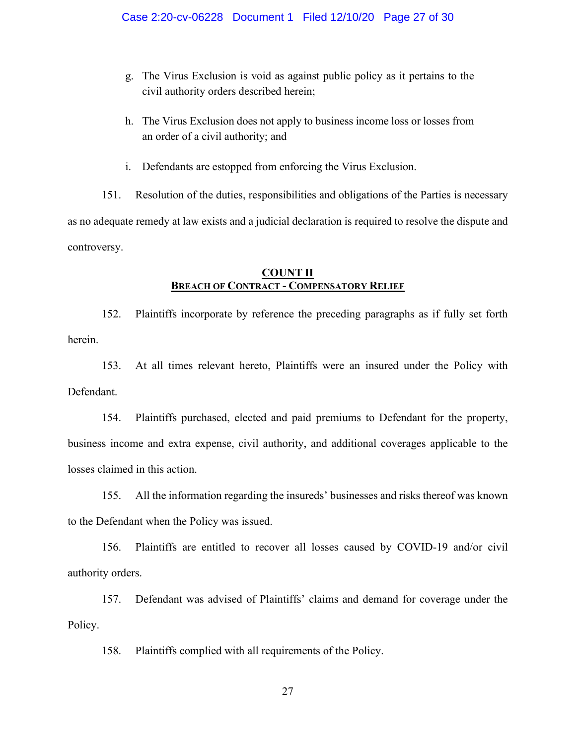- g. The Virus Exclusion is void as against public policy as it pertains to the civil authority orders described herein;
- h. The Virus Exclusion does not apply to business income loss or losses from an order of a civil authority; and
- i. Defendants are estopped from enforcing the Virus Exclusion.

151. Resolution of the duties, responsibilities and obligations of the Parties is necessary as no adequate remedy at law exists and a judicial declaration is required to resolve the dispute and controversy.

## **COUNT II BREACH OF CONTRACT - COMPENSATORY RELIEF**

152. Plaintiffs incorporate by reference the preceding paragraphs as if fully set forth herein.

153. At all times relevant hereto, Plaintiffs were an insured under the Policy with Defendant.

154. Plaintiffs purchased, elected and paid premiums to Defendant for the property, business income and extra expense, civil authority, and additional coverages applicable to the losses claimed in this action.

155. All the information regarding the insureds' businesses and risks thereof was known to the Defendant when the Policy was issued.

156. Plaintiffs are entitled to recover all losses caused by COVID-19 and/or civil authority orders.

157. Defendant was advised of Plaintiffs' claims and demand for coverage under the Policy.

158. Plaintiffs complied with all requirements of the Policy.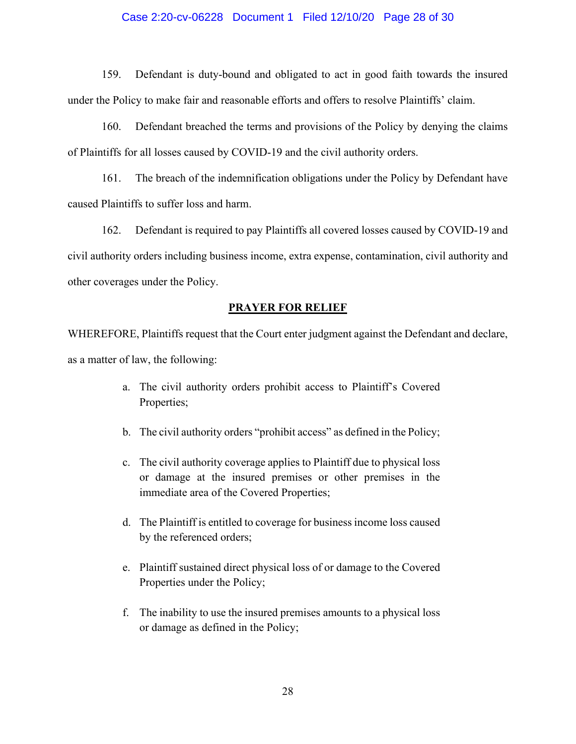### Case 2:20-cv-06228 Document 1 Filed 12/10/20 Page 28 of 30

159. Defendant is duty-bound and obligated to act in good faith towards the insured under the Policy to make fair and reasonable efforts and offers to resolve Plaintiffs' claim.

160. Defendant breached the terms and provisions of the Policy by denying the claims of Plaintiffs for all losses caused by COVID-19 and the civil authority orders.

161. The breach of the indemnification obligations under the Policy by Defendant have caused Plaintiffs to suffer loss and harm.

162. Defendant is required to pay Plaintiffs all covered losses caused by COVID-19 and civil authority orders including business income, extra expense, contamination, civil authority and other coverages under the Policy.

### **PRAYER FOR RELIEF**

WHEREFORE, Plaintiffs request that the Court enter judgment against the Defendant and declare, as a matter of law, the following:

- a. The civil authority orders prohibit access to Plaintiff's Covered Properties;
- b. The civil authority orders "prohibit access" as defined in the Policy;
- c. The civil authority coverage applies to Plaintiff due to physical loss or damage at the insured premises or other premises in the immediate area of the Covered Properties;
- d. The Plaintiff is entitled to coverage for business income loss caused by the referenced orders;
- e. Plaintiff sustained direct physical loss of or damage to the Covered Properties under the Policy;
- f. The inability to use the insured premises amounts to a physical loss or damage as defined in the Policy;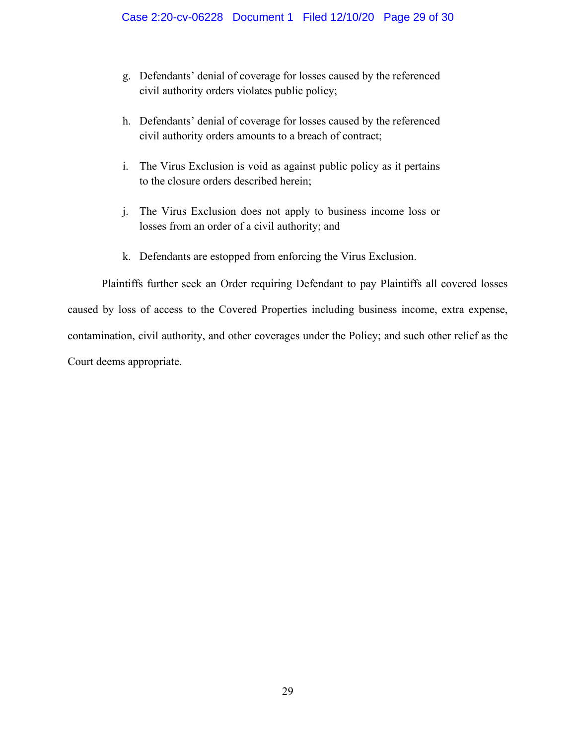- g. Defendants' denial of coverage for losses caused by the referenced civil authority orders violates public policy;
- h. Defendants' denial of coverage for losses caused by the referenced civil authority orders amounts to a breach of contract;
- i. The Virus Exclusion is void as against public policy as it pertains to the closure orders described herein;
- j. The Virus Exclusion does not apply to business income loss or losses from an order of a civil authority; and
- k. Defendants are estopped from enforcing the Virus Exclusion.

Plaintiffs further seek an Order requiring Defendant to pay Plaintiffs all covered losses caused by loss of access to the Covered Properties including business income, extra expense, contamination, civil authority, and other coverages under the Policy; and such other relief as the Court deems appropriate.